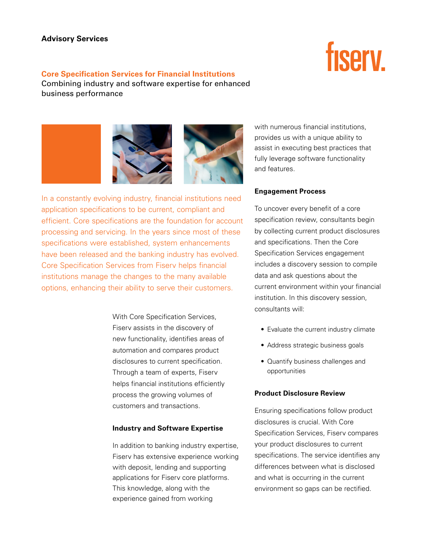# **Advisory Services**

## **Core Specification Services for Financial Institutions**

Combining industry and software expertise for enhanced business performance

In a constantly evolving industry, financial institutions need application specifications to be current, compliant and efficient. Core specifications are the foundation for account processing and servicing. In the years since most of these specifications were established, system enhancements

have been released and the banking industry has evolved. Core Specification Services from Fiserv helps financial institutions manage the changes to the many available options, enhancing their ability to serve their customers.

> With Core Specification Services, Fiserv assists in the discovery of new functionality, identifies areas of automation and compares product disclosures to current specification. Through a team of experts, Fiserv helps financial institutions efficiently process the growing volumes of customers and transactions.

### **Industry and Software Expertise**

In addition to banking industry expertise, Fiserv has extensive experience working with deposit, lending and supporting applications for Fiserv core platforms. This knowledge, along with the experience gained from working

with numerous financial institutions, provides us with a unique ability to assist in executing best practices that fully leverage software functionality and features.

## **Engagement Process**

To uncover every benefit of a core specification review, consultants begin by collecting current product disclosures and specifications. Then the Core Specification Services engagement includes a discovery session to compile data and ask questions about the current environment within your financial institution. In this discovery session, consultants will:

- Evaluate the current industry climate
- Address strategic business goals
- • Quantify business challenges and opportunities

## **Product Disclosure Review**

Ensuring specifications follow product disclosures is crucial. With Core Specification Services, Fiserv compares your product disclosures to current specifications. The service identifies any differences between what is disclosed and what is occurring in the current environment so gaps can be rectified.



# fisery.